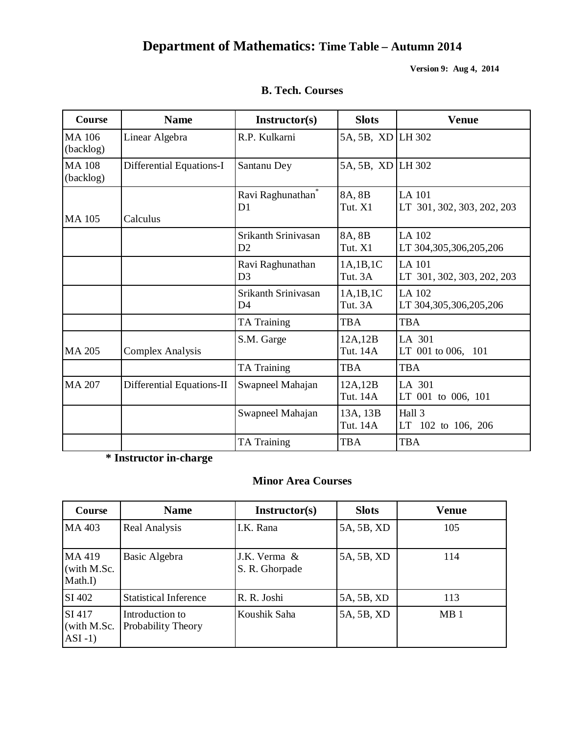# **Department of Mathematics: Time Table – Autumn 2014**

**Version 9: Aug 4, 2014**

| <b>Course</b>             | <b>Name</b>               | <b>Instructor(s)</b>                            | <b>Slots</b>         | <b>Venue</b>                                |
|---------------------------|---------------------------|-------------------------------------------------|----------------------|---------------------------------------------|
| MA 106<br>(backlog)       | Linear Algebra            | R.P. Kulkarni                                   | 5A, 5B, XD LH 302    |                                             |
| <b>MA108</b><br>(backlog) | Differential Equations-I  | Santanu Dey                                     | 5A, 5B, XD LH 302    |                                             |
| MA 105                    | Calculus                  | Ravi Raghunathan <sup>®</sup><br>D <sub>1</sub> | 8A, 8B<br>Tut. X1    | LA 101<br>LT 301, 302, 303, 202, 203        |
|                           |                           | Srikanth Srinivasan<br>D2                       | 8A, 8B<br>Tut. X1    | LA 102<br>LT 304,305,306,205,206            |
|                           |                           | Ravi Raghunathan<br>D <sub>3</sub>              | 1A,1B,1C<br>Tut. 3A  | <b>LA</b> 101<br>LT 301, 302, 303, 202, 203 |
|                           |                           | Srikanth Srinivasan<br>D <sub>4</sub>           | 1A,1B,1C<br>Tut. 3A  | LA 102<br>LT 304,305,306,205,206            |
|                           |                           | TA Training                                     | <b>TBA</b>           | <b>TBA</b>                                  |
| <b>MA 205</b>             | <b>Complex Analysis</b>   | S.M. Garge                                      | 12A,12B<br>Tut. 14A  | LA 301<br>LT 001 to 006, 101                |
|                           |                           | TA Training                                     | <b>TBA</b>           | <b>TBA</b>                                  |
| <b>MA 207</b>             | Differential Equations-II | Swapneel Mahajan                                | 12A,12B<br>Tut. 14A  | LA 301<br>LT 001 to 006, 101                |
|                           |                           | Swapneel Mahajan                                | 13A, 13B<br>Tut. 14A | Hall 3<br>LT 102 to 106, 206                |
|                           |                           | TA Training                                     | <b>TBA</b>           | <b>TBA</b>                                  |

# **B. Tech. Courses**

**\* Instructor in-charge**

# **Minor Area Courses**

| Course                              | <b>Name</b>                                  | Instructor(s)                  | <b>Slots</b> | <b>Venue</b>    |
|-------------------------------------|----------------------------------------------|--------------------------------|--------------|-----------------|
| MA 403                              | Real Analysis                                | I.K. Rana                      | 5A, 5B, XD   | 105             |
| MA 419<br>(with M.Sc.)<br>Math.I)   | Basic Algebra                                | J.K. Verma &<br>S. R. Ghorpade | 5A, 5B, XD   | 114             |
| SI 402                              | <b>Statistical Inference</b>                 | R. R. Joshi                    | 5A, 5B, XD   | 113             |
| SI 417<br>(with M.Sc.)<br>$ASI -1)$ | Introduction to<br><b>Probability Theory</b> | Koushik Saha                   | 5A, 5B, XD   | MB <sub>1</sub> |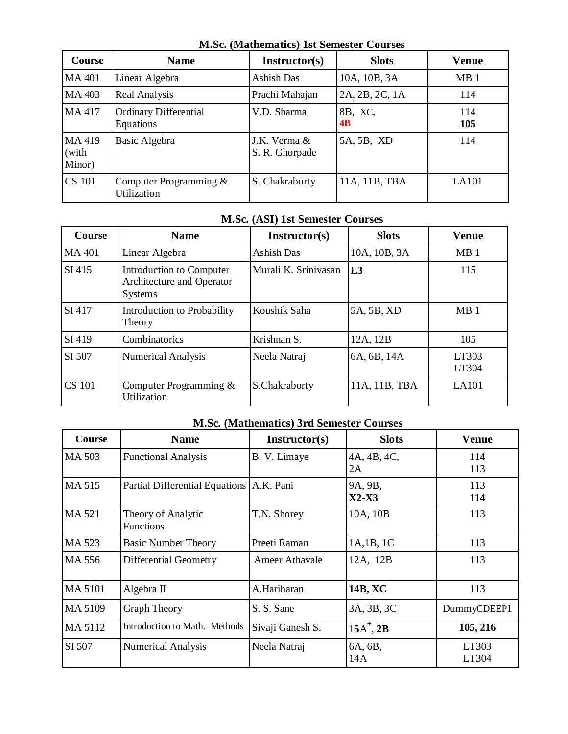|                           | <u>visse, wiatheliaties, ist schiester Courses</u> |                                |                      |                 |  |  |
|---------------------------|----------------------------------------------------|--------------------------------|----------------------|-----------------|--|--|
| Course                    | <b>Name</b>                                        | <b>Instructor(s)</b>           | <b>Slots</b>         | <b>Venue</b>    |  |  |
| <b>MA401</b>              | Linear Algebra                                     | Ashish Das                     | 10A, 10B, 3A         | MB <sub>1</sub> |  |  |
| MA 403                    | Real Analysis                                      | Prachi Mahajan                 | 2A, 2B, 2C, 1A       | 114             |  |  |
| MA 417                    | <b>Ordinary Differential</b><br>Equations          | V.D. Sharma                    | 8B, XC,<br><b>4B</b> | 114<br>105      |  |  |
| MA 419<br>(with<br>Minor) | Basic Algebra                                      | J.K. Verma &<br>S. R. Ghorpade | 5A, 5B, XD           | 114             |  |  |
| <b>CS 101</b>             | Computer Programming $\&$<br>Utilization           | S. Chakraborty                 | 11A, 11B, TBA        | LA101           |  |  |

#### **M.Sc. (Mathematics) 1st Semester Courses**

## **M.Sc. (ASI) 1st Semester Courses**

| Course        | <b>Name</b>                                                             | Instructor(s)        | <b>Slots</b>  | <b>Venue</b>    |  |
|---------------|-------------------------------------------------------------------------|----------------------|---------------|-----------------|--|
| <b>MA401</b>  | Linear Algebra                                                          | <b>Ashish Das</b>    | 10A, 10B, 3A  | MB <sub>1</sub> |  |
| SI 415        | Introduction to Computer<br>Architecture and Operator<br><b>Systems</b> | Murali K. Srinivasan | L3            | 115             |  |
| SI 417        | Introduction to Probability<br>Theory                                   | Koushik Saha         | 5A, 5B, XD    | MB <sub>1</sub> |  |
| SI 419        | Combinatorics                                                           | Krishnan S.          | 12A, 12B      | 105             |  |
| SI 507        | <b>Numerical Analysis</b>                                               | Neela Natraj         | 6A, 6B, 14A   | LT303<br>LT304  |  |
| <b>CS</b> 101 | Computer Programming $\&$<br>Utilization                                | S.Chakraborty        | 11A, 11B, TBA | LA101           |  |

## **M.Sc. (Mathematics) 3rd Semester Courses**

| Course         | <b>Name</b>                            | Instructor(s)    | <b>Slots</b>       | <b>Venue</b>   |  |
|----------------|----------------------------------------|------------------|--------------------|----------------|--|
| MA 503         | <b>Functional Analysis</b>             | B. V. Limaye     | 4A, 4B, 4C,<br>2A  | 114<br>113     |  |
| MA 515         | <b>Partial Differential Equations</b>  | A.K. Pani        | 9A, 9B,<br>$X2-X3$ | 113<br>114     |  |
| MA 521         | Theory of Analytic<br><b>Functions</b> | T.N. Shorey      | 10A, 10B           | 113            |  |
| MA 523         | <b>Basic Number Theory</b>             | Preeti Raman     | 1A,1B, 1C          | 113            |  |
| MA 556         | Differential Geometry                  | Ameer Athavale   | 12A, 12B           | 113            |  |
| <b>MA 5101</b> | Algebra II                             | A.Hariharan      | 14B, XC            | 113            |  |
| MA 5109        | <b>Graph Theory</b>                    | S. S. Sane       | 3A, 3B, 3C         | DummyCDEEP1    |  |
| MA 5112        | Introduction to Math. Methods          | Sivaji Ganesh S. | $15A^+$ , $2B$     | 105, 216       |  |
| SI 507         | <b>Numerical Analysis</b>              | Neela Natraj     | 6A, 6B,<br>14A     | LT303<br>LT304 |  |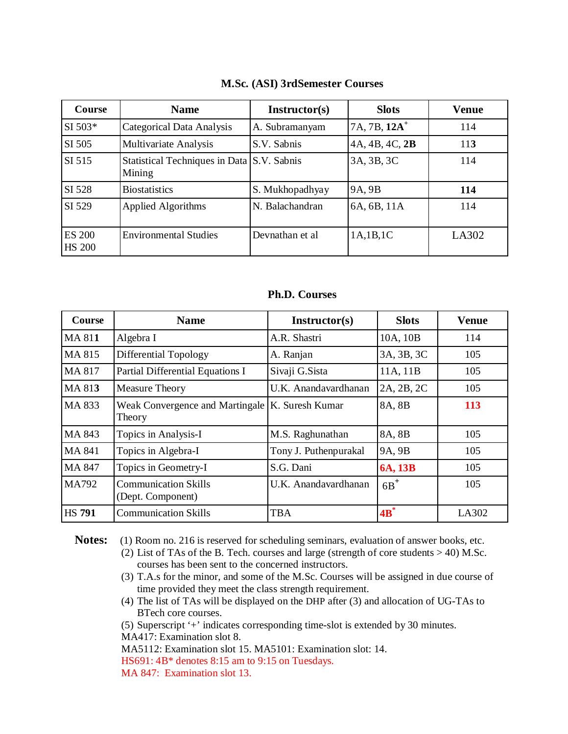| Course                         | <b>Name</b>                                          | Instructor(s)   | <b>Slots</b>   | <b>Venue</b> |  |
|--------------------------------|------------------------------------------------------|-----------------|----------------|--------------|--|
| $SI 503*$                      | Categorical Data Analysis                            | A. Subramanyam  | $7A, 7B, 12A+$ | 114          |  |
| SI 505                         | Multivariate Analysis                                | S.V. Sabnis     | 4A, 4B, 4C, 2B | 113          |  |
| SI 515                         | Statistical Techniques in Data S.V. Sabnis<br>Mining |                 | 3A, 3B, 3C     | 114          |  |
| SI 528                         | <b>Biostatistics</b>                                 | S. Mukhopadhyay | 9A, 9B         | 114          |  |
| SI 529                         | Applied Algorithms                                   | N. Balachandran | 6A, 6B, 11A    | 114          |  |
| <b>ES 200</b><br><b>HS 200</b> | <b>Environmental Studies</b>                         | Devnathan et al | 1A,1B,1C       | LA302        |  |

#### **M.Sc. (ASI) 3rdSemester Courses**

**Ph.D. Courses**

| Course        | <b>Name</b>                                                 | Instructor(s)         | <b>Slots</b> | <b>Venue</b> |
|---------------|-------------------------------------------------------------|-----------------------|--------------|--------------|
| <b>MA 811</b> | Algebra I                                                   | A.R. Shastri          | 10A, 10B     | 114          |
| MA 815        | Differential Topology                                       | A. Ranjan             | 3A, 3B, 3C   | 105          |
| MA 817        | Partial Differential Equations I                            | Sivaji G.Sista        | 11A, 11B     | 105          |
| MA 813        | <b>Measure Theory</b>                                       | U.K. Anandavardhanan  | 2A, 2B, 2C   | 105          |
| MA 833        | Weak Convergence and Martingale   K. Suresh Kumar<br>Theory |                       | 8A, 8B       | 113          |
| MA 843        | Topics in Analysis-I                                        | M.S. Raghunathan      | 8A, 8B       | 105          |
| <b>MA 841</b> | Topics in Algebra-I                                         | Tony J. Puthenpurakal | 9A, 9B       | 105          |
| <b>MA 847</b> | Topics in Geometry-I                                        | S.G. Dani             | 6A, 13B      | 105          |
| <b>MA792</b>  | <b>Communication Skills</b><br>(Dept. Component)            | U.K. Anandavardhanan  | $6B^+$       | 105          |
| <b>HS 791</b> | <b>Communication Skills</b>                                 | <b>TBA</b>            | $4B^*$       | LA302        |

Notes: (1) Room no. 216 is reserved for scheduling seminars, evaluation of answer books, etc. (2) List of TAs of the B. Tech. courses and large (strength of core students > 40) M.Sc. courses has been sent to the concerned instructors.

- (3) T.A.s for the minor, and some of the M.Sc. Courses will be assigned in due course of time provided they meet the class strength requirement.
- (4) The list of TAs will be displayed on the DHP after (3) and allocation of UG-TAs to BTech core courses.

(5) Superscript '+' indicates corresponding time-slot is extended by 30 minutes. MA417: Examination slot 8.

MA5112: Examination slot 15. MA5101: Examination slot: 14.

HS691: 4B\* denotes 8:15 am to 9:15 on Tuesdays.

MA 847: Examination slot 13.